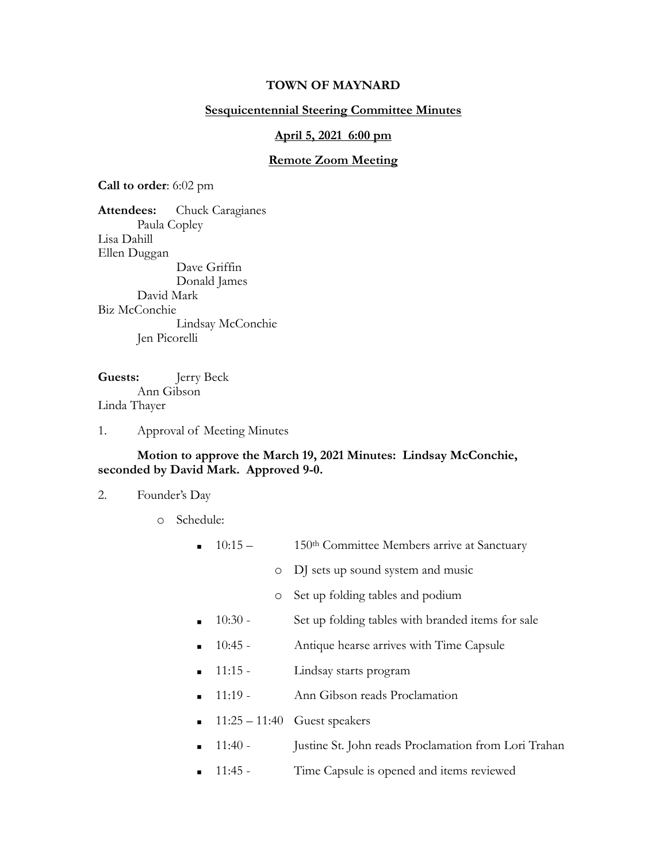## **TOWN OF MAYNARD**

## **Sesquicentennial Steering Committee Minutes**

#### **April 5, 2021 6:00 pm**

#### **Remote Zoom Meeting**

**Call to order**: 6:02 pm

**Attendees:** Chuck Caragianes Paula Copley Lisa Dahill Ellen Duggan Dave Griffin Donald James David Mark Biz McConchie Lindsay McConchie Jen Picorelli

**Guests:** Jerry Beck Ann Gibson Linda Thayer

1. Approval of Meeting Minutes

## **Motion to approve the March 19, 2021 Minutes: Lindsay McConchie, seconded by David Mark. Approved 9-0.**

2. Founder's Day

o Schedule:

- $\blacksquare$  10:15 150<sup>th</sup> Committee Members arrive at Sanctuary
	- o DJ sets up sound system and music
	- o Set up folding tables and podium
- 10:30 Set up folding tables with branded items for sale
- 10:45 Antique hearse arrives with Time Capsule
- 11:15 Lindsay starts program
- 11:19 Ann Gibson reads Proclamation
- $11:25 11:40$  Guest speakers
- **11:40** Justine St. John reads Proclamation from Lori Trahan
- 11:45 Time Capsule is opened and items reviewed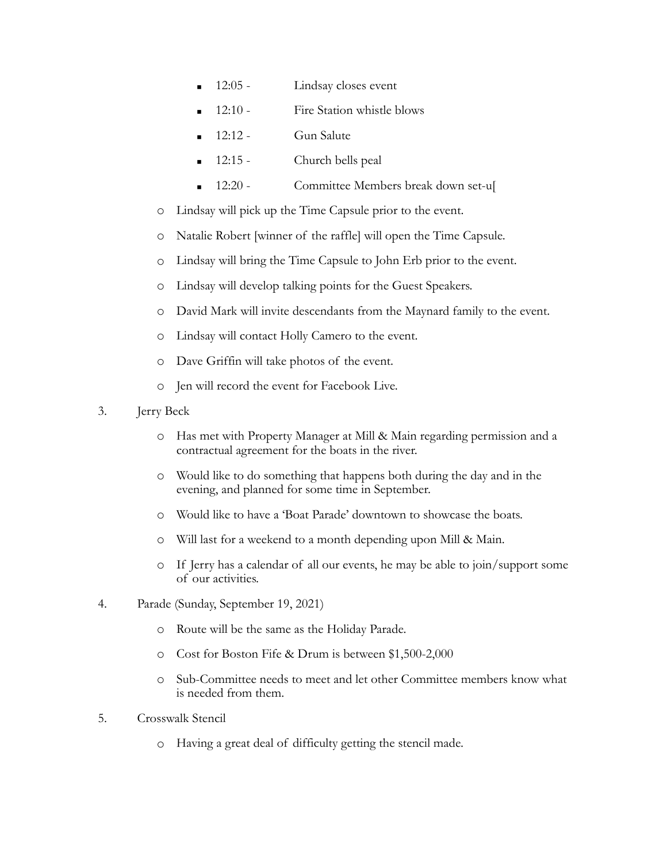- 12:05 Lindsay closes event
- 12:10 Fire Station whistle blows
- $12:12$  Gun Salute
- 12:15 Church bells peal
- 12:20 Committee Members break down set-u[
- o Lindsay will pick up the Time Capsule prior to the event.
- o Natalie Robert [winner of the raffle] will open the Time Capsule.
- o Lindsay will bring the Time Capsule to John Erb prior to the event.
- o Lindsay will develop talking points for the Guest Speakers.
- o David Mark will invite descendants from the Maynard family to the event.
- o Lindsay will contact Holly Camero to the event.
- o Dave Griffin will take photos of the event.
- o Jen will record the event for Facebook Live.
- 3. Jerry Beck
	- o Has met with Property Manager at Mill & Main regarding permission and a contractual agreement for the boats in the river.
	- o Would like to do something that happens both during the day and in the evening, and planned for some time in September.
	- o Would like to have a 'Boat Parade' downtown to showcase the boats.
	- o Will last for a weekend to a month depending upon Mill & Main.
	- o If Jerry has a calendar of all our events, he may be able to join/support some of our activities.
- 4. Parade (Sunday, September 19, 2021)
	- o Route will be the same as the Holiday Parade.
	- o Cost for Boston Fife & Drum is between \$1,500-2,000
	- o Sub-Committee needs to meet and let other Committee members know what is needed from them.
- 5. Crosswalk Stencil
	- o Having a great deal of difficulty getting the stencil made.